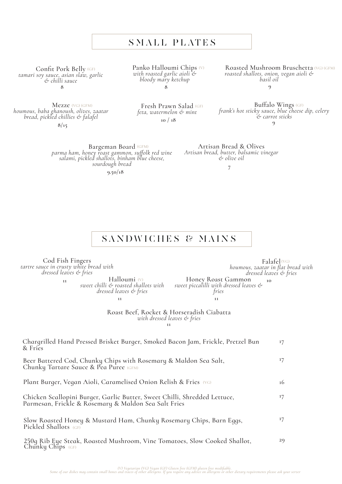## SMALL PLATES

Confit Pork Belly *tamari soy sauce, asian slaw, garlic & chilli sauce*  Confit Pork Belly (GF)

Mezze (VG) (GFM) *houmous, baba ghanoush, olives, zaatar bread, pickled chillies & falafel*

**8/15**

Panko Halloumi Chips (V) *with roasted garlic aioli & bloody mary ketchup* **8 8**

(V) Roasted Mushroom Bruschetta (VG) (GFM) *roasted shallots, onion, vegan aioli & basil oil* **9**

Buffalo Wings *frank's hot sticky sauce, blue cheese dip, celery & carrot sticks* (GF) (GF) **9**

Bargeman Board <sup>(GFM)</sup><br>parma ham, honey roast gammon, suffolk red wine<br>salami, pickled shallots, binham blue cheese,<br>*sourdough bread* 

**9.50/18**

Artisan Bread & Olives *Artisan bread, butter, balsamic vinegar & olive oil*

**7**

# SANDWICHES & MAINS

Cod Fish Fingers *tartre sauce in crusty white bread with dressed leaves & fries*

Halloumi (V) *sweet chilli & roasted shallots with dressed leaves & fries* **11 10**

Falafel (VG) *houmous, zaatar in flat bread with dressed leaves & fries*

Honey Roast Gammon *sweet piccalilli with dressed leaves & fries* **11 11**

Roast Beef, Rocket & Horseradish Ciabatta *with dressed leaves & fries* **<sup>11</sup>**

| Chargrilled Hand Pressed Brisket Burger, Smoked Bacon Jam, Frickle, Pretzel Bun<br>& Fries                                        | 17 |
|-----------------------------------------------------------------------------------------------------------------------------------|----|
| Beer Battered Cod, Chunky Chips with Rosemary & Maldon Sea Salt,<br>Chunky Tartare Sauce & Pea Puree (GFM)                        | 17 |
| Plant Burger, Vegan Aioli, Caramelised Onion Relish & Fries (VG)                                                                  | 16 |
| Chicken Scallopini Burger, Garlic Butter, Sweet Chilli, Shredded Lettuce,<br>Parmesan, Frickle & Rosemary & Maldon Sea Salt Fries | 17 |
| Slow Roasted Honey & Mustard Ham, Chunky Rosemary Chips, Barn Eggs,<br>Pickled Shallots (GF)                                      | 17 |
| 250q Rib Eye Steak, Roasted Mushroom, Vine Tomatoes, Slow Cooked Shallot,<br>Chunky Chips $(GF)$                                  | 29 |

Fresh Prawn Salad *feta, watermelon & mint* **10 / 18**